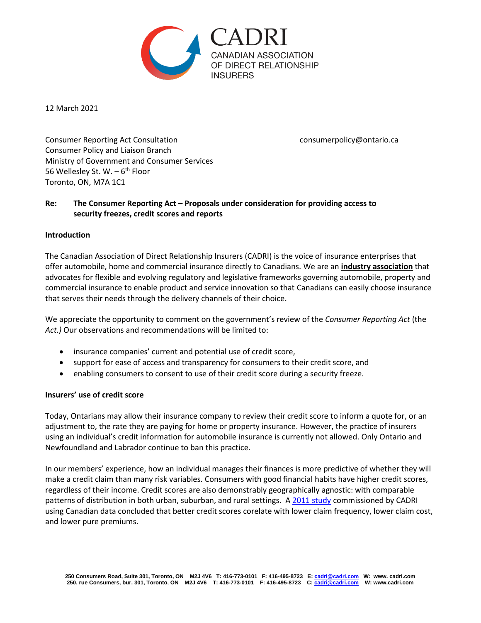

12 March 2021

Consumer Reporting Act Consultation consumerpolicy@ontario.ca Consumer Policy and Liaison Branch Ministry of Government and Consumer Services 56 Wellesley St. W. – 6<sup>th</sup> Floor Toronto, ON, M7A 1C1

# **Re: The Consumer Reporting Act – Proposals under consideration for providing access to security freezes, credit scores and reports**

#### **Introduction**

The Canadian Association of Direct Relationship Insurers (CADRI) is the voice of insurance enterprises that offer automobile, home and commercial insurance directly to Canadians. We are an **industry association** that advocates for flexible and evolving regulatory and legislative frameworks governing automobile, property and commercial insurance to enable product and service innovation so that Canadians can easily choose insurance that serves their needs through the delivery channels of their choice.

We appreciate the opportunity to comment on the government's review of the *Consumer Reporting Act* (the *Act.)* Our observations and recommendations will be limited to:

- insurance companies' current and potential use of credit score,
- support for ease of access and transparency for consumers to their credit score, and
- enabling consumers to consent to use of their credit score during a security freeze.

### **Insurers' use of credit score**

Today, Ontarians may allow their insurance company to review their credit score to inform a quote for, or an adjustment to, the rate they are paying for home or property insurance. However, the practice of insurers using an individual's credit information for automobile insurance is currently not allowed. Only Ontario and Newfoundland and Labrador continue to ban this practice.

In our members' experience, how an individual manages their finances is more predictive of whether they will make a credit claim than many risk variables. Consumers with good financial habits have higher credit scores, regardless of their income. Credit scores are also demonstrably geographically agnostic: with comparable patterns of distribution in both urban, suburban, and rural settings. A [2011 study](https://cdn.ymaws.com/cadri.site-ym.com/resource/resmgr/Docs/CADRI_PEI_CreditScoreSubmiss.pdf) commissioned by CADRI using Canadian data concluded that better credit scores corelate with lower claim frequency, lower claim cost, and lower pure premiums.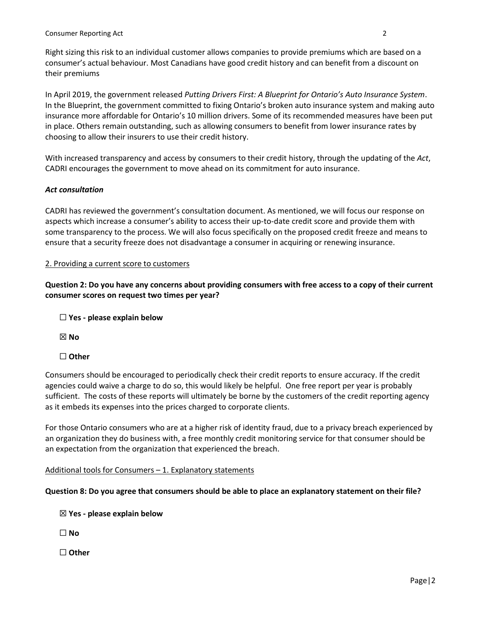Right sizing this risk to an individual customer allows companies to provide premiums which are based on a consumer's actual behaviour. Most Canadians have good credit history and can benefit from a discount on their premiums

In April 2019, the government released *Putting Drivers First: A Blueprint for Ontario's Auto Insurance System*. In the Blueprint, the government committed to fixing Ontario's broken auto insurance system and making auto insurance more affordable for Ontario's 10 million drivers. Some of its recommended measures have been put in place. Others remain outstanding, such as allowing consumers to benefit from lower insurance rates by choosing to allow their insurers to use their credit history.

With increased transparency and access by consumers to their credit history, through the updating of the *Act*, CADRI encourages the government to move ahead on its commitment for auto insurance.

## *Act consultation*

CADRI has reviewed the government's consultation document. As mentioned, we will focus our response on aspects which increase a consumer's ability to access their up-to-date credit score and provide them with some transparency to the process. We will also focus specifically on the proposed credit freeze and means to ensure that a security freeze does not disadvantage a consumer in acquiring or renewing insurance.

### 2. Providing a current score to customers

**Question 2: Do you have any concerns about providing consumers with free access to a copy of their current consumer scores on request two times per year?**

☐ **Yes - please explain below**

☒ **No** 

☐ **Other** 

Consumers should be encouraged to periodically check their credit reports to ensure accuracy. If the credit agencies could waive a charge to do so, this would likely be helpful. One free report per year is probably sufficient. The costs of these reports will ultimately be borne by the customers of the credit reporting agency as it embeds its expenses into the prices charged to corporate clients.

For those Ontario consumers who are at a higher risk of identity fraud, due to a privacy breach experienced by an organization they do business with, a free monthly credit monitoring service for that consumer should be an expectation from the organization that experienced the breach.

### Additional tools for Consumers – 1. Explanatory statements

**Question 8: Do you agree that consumers should be able to place an explanatory statement on their file?**

☒ **Yes - please explain below**

☐ **No** 

☐ **Other**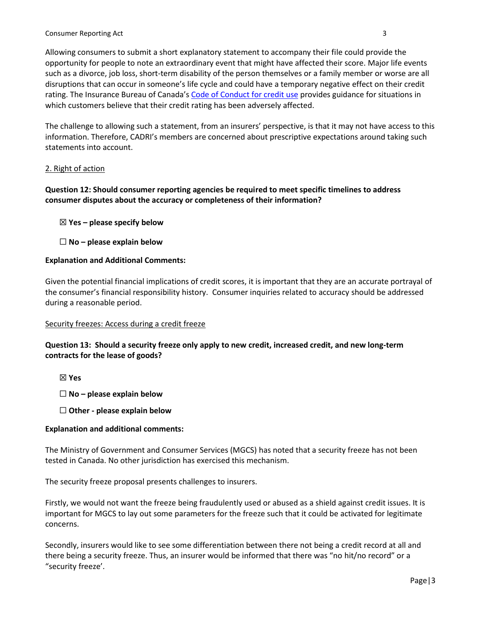Allowing consumers to submit a short explanatory statement to accompany their file could provide the opportunity for people to note an extraordinary event that might have affected their score. Major life events such as a divorce, job loss, short-term disability of the person themselves or a family member or worse are all disruptions that can occur in someone's life cycle and could have a temporary negative effect on their credit rating. The Insurance Bureau of Canada's [Code of Conduct for credit use](http://assets.ibc.ca/Documents/Consumer%20Protection/Code_of_Conduct.pdf) provides guidance for situations in which customers believe that their credit rating has been adversely affected.

The challenge to allowing such a statement, from an insurers' perspective, is that it may not have access to this information. Therefore, CADRI's members are concerned about prescriptive expectations around taking such statements into account.

### 2. Right of action

**Question 12: Should consumer reporting agencies be required to meet specific timelines to address consumer disputes about the accuracy or completeness of their information?** 

☒ **Yes – please specify below**

☐ **No – please explain below** 

### **Explanation and Additional Comments:**

Given the potential financial implications of credit scores, it is important that they are an accurate portrayal of the consumer's financial responsibility history. Consumer inquiries related to accuracy should be addressed during a reasonable period.

### Security freezes: Access during a credit freeze

**Question 13: Should a security freeze only apply to new credit, increased credit, and new long-term contracts for the lease of goods?** 

☒ **Yes** 

☐ **No – please explain below**

☐ **Other - please explain below**

### **Explanation and additional comments:**

The Ministry of Government and Consumer Services (MGCS) has noted that a security freeze has not been tested in Canada. No other jurisdiction has exercised this mechanism.

The security freeze proposal presents challenges to insurers.

Firstly, we would not want the freeze being fraudulently used or abused as a shield against credit issues. It is important for MGCS to lay out some parameters for the freeze such that it could be activated for legitimate concerns.

Secondly, insurers would like to see some differentiation between there not being a credit record at all and there being a security freeze. Thus, an insurer would be informed that there was "no hit/no record" or a "security freeze'.